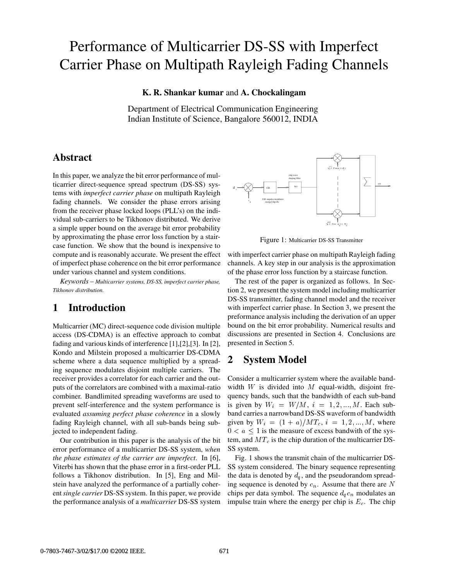# Performance of Multicarrier DS-SS with Imperfect Carrier Phase on Multipath Rayleigh Fading Channels

#### **K. R. Shankar kumar** and **A. Chockalingam**

Department of Electrical Communication Engineering Indian Institute of Science, Bangalore 560012, INDIA

## **Abstract**

In this paper, we analyze the bit error performance of multicarrier direct-sequence spread spectrum (DS-SS) systems with *imperfect carrier phase* on multipath Rayleigh fading channels. We consider the phase errors arising from the receiver phase locked loops (PLL's) on the individual sub-carriers to be Tikhonov distributed. We derive a simple upper bound on the average bit error probability by approximating the phase error loss function by a staircase function. We show that the bound is inexpensive to compute and is reasonably accurate. We present the effect of imperfect phase coherence on the bit error performance under various channel and system conditions.

*Keywords – Multicarrier systems, DS-SS, imperfect carrier phase, Tikhonov distribution.*

## **1 Introduction**

Multicarrier (MC) direct-sequence code division multiple access (DS-CDMA) is an effective approach to combat fading and various kinds of interference [1],[2],[3]. In [2], Kondo and Milstein proposed a multicarrier DS-CDMA scheme where a data sequence multiplied by a spreading sequence modulates disjoint multiple carriers. The receiver provides a correlator for each carrier and the outputs of the correlators are combined with a maximal-ratio combiner. Bandlimited spreading waveforms are used to prevent self-interference and the system performance is evaluated *assuming perfect phase coherence* in a slowly fading Rayleigh channel, with all sub-bands being subjected to independent fading.

Our contribution in this paper is the analysis of the bit error performance of a multicarrier DS-SS system, *when the phase estimates of the carrier are imperfect*. In [6], Viterbi has shown that the phase error in a first-order PLL follows a Tikhonov distribution. In [5], Eng and Milstein have analyzed the performance of a partially coherent*single carrier* DS-SS system. In this paper, we provide the performance analysis of a *multicarrier* DS-SS system



Figure 1: Multicarrier DS-SS Transmitter

with imperfect carrier phase on multipath Rayleigh fading channels. A key step in our analysis is the approximation of the phase error loss function by a staircase function.

The rest of the paper is organized as follows. In Section 2, we present the system model including multicarrier DS-SS transmitter, fading channel model and the receiver with imperfect carrier phase. In Section 3, we present the preformance analysis including the derivation of an upper bound on the bit error probability. Numerical results and discussions are presented in Section 4. Conclusions are presented in Section 5.

## **2 System Model**

Consider a multicarrier system where the available bandwidth  $W$  is divided into  $M$  equal-width, disjoint frequency bands, such that the bandwidth of each sub-band is given by  $W_i = W/M$ ,  $i = 1, 2, ..., M$ . Each subband carries a narrowband DS-SS waveform of bandwidth given by  $W_i = (1 + a)/MT_c$ ,  $i = 1, 2, ..., M$ , where  $0 < a \leq 1$  is the measure of excess bandwith of the system, and  $MT_c$  is the chip duration of the multicarrier DS-SS system.

Fig. 1 shows the transmit chain of the multicarrier DS-SS system considered. The binary sequence representing the data is denoted by  $d_q$ , and the pseudorandom spreading sequence is denoted by  $c_n$ . Assume that there are N chips per data symbol. The sequence  $d_q c_n$  modulates an impulse train where the energy per chip is  $E<sub>c</sub>$ . The chip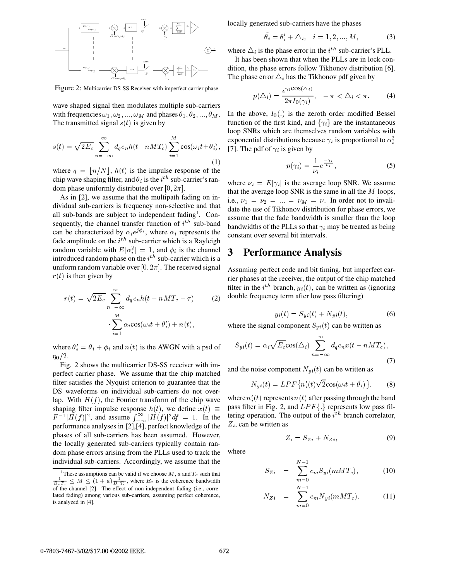

Figure 2: Multicarrier DS-SS Receiver with imperfect carrier phase

wave shaped signal then modulates multiple sub-carriers with frequencies  $\omega_1, \omega_2, \ldots, \omega_M$  and phases  $\theta_1, \theta_2, \ldots, \theta_M$ . The transmitted signal  $s(t)$  is given by

$$
s(t) = \sqrt{2E_c} \sum_{n = -\infty}^{\infty} d_q c_n h(t - nMT_c) \sum_{i=1}^{M} \cos(\omega_i t + \theta_i),
$$
 exponential distributions bec:  
(1)

where  $q = \lfloor n/N \rfloor$ ,  $h(t)$  is the impulse response of the chip wave shaping filter, and  $\theta_i$  is the  $i^{th}$  sub-carrier's random phase uniformly distributed over  $[0, 2\pi]$ .

As in [2], we assume that the multipath fading on individual sub-carriers is frequency non-selective and that all sub-bands are subject to independent fading<sup>1</sup>. Consequently, the channel transfer function of  $i^{th}$  sub-band can be characterized by  $\alpha_i e^{j\phi_i}$ , where  $\alpha_i$  represents the fade amplitude on the  $i<sup>th</sup>$  sub-carrier which is a Rayleigh random variable with  $E[\alpha_i^2] = 1$ , and  $\phi_i$  is the channel introduced random phase on the  $i^{th}$  sub-carrier which is a uniform random variable over [0,  $2\pi$ ]. The received signal  $r(t)$  is then given by

$$
r(t) = \sqrt{2E_c} \sum_{n = -\infty}^{\infty} d_q c_n h(t - nMT_c - \tau)
$$
 (2)  

$$
\sum_{i=1}^{M} \alpha_i \cos(\omega_i t + \theta'_i) + n(t),
$$

where  $\theta_i' = \theta_i + \phi_i$  and  $n(t)$  is the AWGN with a psd of  $n_{0}/2$ .

Fig. 2 shows the multicarrier DS-SS receiver with imperfect carrier phase. We assume that the chip matched filter satisfies the Nyquist criterion to guarantee that the DS waveforms on individual sub-carriers do not overlap. With  $H(f)$ , the Fourier transform of the chip wave shaping filter impulse response  $h(t)$ , we define  $x(t) \equiv$  $F^{-1}|H(f)|^2$ , and assume  $\int_{-\infty}^{\infty} |H(f)|^2 df = 1$ . In the <sup>t</sup> performance analyses in [2],[4], perfect knowledge of the phases of all sub-carriers has been assumed. However, the locally generated sub-carriers typically contain random phase errors arising from the PLLs used to track the individual sub-carriers. Accordingly, we assume that the

locally generated sub-carriers have the phases

$$
\ddot{\theta}_i = \theta'_i + \Delta_i, \quad i = 1, 2, \dots, M,\tag{3}
$$

where  $\Delta_i$  is the phase error in the  $i^{th}$  sub-carrier's PLL.

It has been shown that when the PLLs are in lock condition, the phase errors follow Tikhonov distribution [6]. The phase error  $\Delta_i$  has the Tikhonov pdf given by

$$
p(\Delta_i) = \frac{e^{\gamma_i \cos(\Delta_i)}}{2\pi I_0(\gamma_i)}, \quad -\pi < \Delta_i < \pi. \tag{4}
$$

In the above,  $I_0(.)$  is the zeroth order modified Bessel function of the first kind, and  $\{\gamma_i\}$  are the instantaneous loop SNRs which are themselves random variables with exponential distributions because  $\gamma_i$  is proportional to  $\alpha_i^2$ 

$$
p(\gamma_i) = \frac{1}{\nu_i} e^{\frac{-\gamma_i}{\nu_i}},\tag{5}
$$

where  $\nu_i = E[\gamma_i]$  is the average loop SNR. We assume that the average loop SNR is the same in all the  $M$  loops, i.e.,  $\nu_1 = \nu_2 = \ldots = \nu_M = \nu$ . In order not to invalidate the use of Tikhonov distribution for phase errors, we assume that the fade bandwidth is smaller than the loop bandwidths of the PLLs so that  $\gamma_i$  may be treated as being constant over several bit intervals.

#### **3 Performance Analysis**

Assuming perfect code and bit timing, but imperfect carrier phases at the receiver, the output of the chip matched filter in the  $i^{th}$  branch,  $y_i(t)$ , can be written as (ignoring double frequency term after low pass filtering)

$$
y_i(t) = S_{yi}(t) + N_{yi}(t),\tag{6}
$$

where the signal component  $S_{yi}(t)$  can be written as

$$
S_{yi}(t) = \alpha_i \sqrt{E_c} \cos(\Delta_i) \sum_{n=-\infty}^{\infty} d_q c_n x(t - nMT_c),
$$
\n(7)

and the noise component  $N_{ui}(t)$  can be written as

$$
N_{yi}(t) = LPF\{n_i'(t)\sqrt{2}\cos(\omega_i t + \tilde{\theta}_i)\},\qquad(8)
$$

where  $n'_{i}(t)$  represents  $n(t)$  after passing through the band pass filter in Fig. 2, and  $LPF\{\}$  represents low pass filtering operation. The output of the  $i<sup>th</sup>$  branch correlator,  $Z_i$ , can be written as

$$
Z_i = S_{Zi} + N_{Zi},\tag{9}
$$

where

$$
S_{Zi} = \sum_{m=0}^{N-1} c_m S_{yi}(mMT_c), \qquad (10)
$$

$$
N_{Zi} = \sum_{m=0}^{N-1} c_m N_{yi}(mMT_c). \qquad (11)
$$

<sup>&</sup>lt;sup>1</sup>These assumptions can be valid if we choose  $M$ ,  $a$  and  $T_c$  such that  $\frac{1}{B_cT_c} \leq M \leq (1+a) \frac{1}{B_cT_c}$ , where  $B_c$  is the coherence bandwidth of the channel [2]. The effect of non-independent fading (i.e., correlated fading) among various sub-carriers, assuming perfect coherence, is analyzed in [4].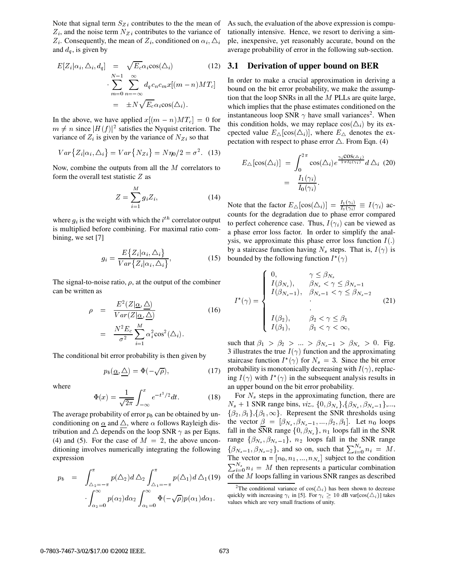Note that signal term  $S_{Z_i}$  contributes to the the mean of  $Z_i$ , and the noise term  $N_{Z_i}$  contributes to the variance of  $Z_i$ . Consequently, the mean of  $Z_i$ , conditioned on  $\alpha_i$ ,  $\Delta_i$ and  $d_a$ , is given by

$$
E[Z_i|\alpha_i, \Delta_i, d_q] = \sqrt{E_c} \alpha_i \cos(\Delta_i)
$$
(12) 3  

$$
\sum_{m=0}^{N-1} \sum_{n=-\infty}^{\infty} d_q c_n c_m x [(m-n)MT_c]
$$

$$
= \pm N \sqrt{E_c} \alpha_i \cos(\Delta_i).
$$
(13)

In the above, we have applied  $x[(m - n)MT_c] = 0$  for  $m \neq n$  since  $|H(f)|^2$  satisfies the Nyquist criterion. The variance of  $Z_i$  is given by the variance of  $N_{Z_i}$  so that

$$
Var{Zi|αi, Δi} = Var{NZi} = Nη0/2 = \sigma2.
$$
 (13)

Now, combine the outputs from all the <sup>M</sup> correlators to form the overall test statistic  $Z$  as

$$
Z = \sum_{i=1}^{M} g_i Z_i, \qquad (14)
$$

where  $g_i$  is the weight with which the  $i^{th}$  correlator output is multiplied before combining. For maximal ratio combining, we set [7]

$$
g_i = \frac{E\{Z_i|\alpha_i, \Delta_i\}}{Var\{Z_i|\alpha_i, \Delta_i\}},
$$
\n(15)

The signal-to-noise ratio,  $\rho$ , at the output of the combiner can be written as

$$
\rho = \frac{E^2(Z|\underline{\alpha}, \underline{\Delta})}{Var(Z|\underline{\alpha}, \underline{\Delta})}
$$
(16)  

$$
= \frac{N^2 E_c}{\sigma^2} \sum_{i=1}^M \alpha_i^2 \cos^2(\Delta_i).
$$

The conditional bit error probability is then given by

$$
p_b(\underline{\alpha}, \underline{\triangle}) = \Phi(-\sqrt{\rho}), \qquad (17)
$$

where

$$
\Phi(x) = \frac{1}{\sqrt{2\pi}} \int_{-\infty}^{x} e^{-t^2/2} dt.
$$
 (18)

The average probability of error  $p_b$  can be obtained by unconditioning on  $\alpha$  and  $\Delta$ , where  $\alpha$  follows Rayleigh distribution and  $\triangle$  depends on the loop SNR  $\gamma$  as per Eqns. (4) and (5). For the case of  $M = 2$ , the above unconditioning involves numerically integrating the following expression

$$
p_b = \int_{\Delta_2 = -\pi}^{\pi} p(\Delta_2) d \Delta_2 \int_{\Delta_1 = -\pi}^{\pi} p(\Delta_1) d \Delta_1 (19) \frac{c}{2}
$$

$$
\int_{\alpha_2 = 0}^{\infty} p(\alpha_2) d \alpha_2 \int_{\alpha_1 = 0}^{\infty} \Phi(-\sqrt{\rho}) p(\alpha_1) d \alpha_1.
$$

As such, the evaluation of the above expression is computationally intensive. Hence, we resort to deriving a simple, inexpensive, yet reasonably accurate, bound on the average probability of error in the following sub-section.

#### **3.1 Derivation of upper bound on BER**

In order to make a crucial approximation in deriving a bound on the bit error probability, we make the assumption that the loop SNRs in all the  $M$  PLLs are quite large, which implies that the phase estimates conditioned on the instantaneous loop SNR  $\gamma$  have small variances<sup>2</sup>. When this condition holds, we may replace  $cos(\Delta_i)$  by its excpected value  $E_{\Delta}[\cos(\Delta_i)]$ , where  $E_{\Delta}$  denotes the expectation with respect to phase error  $\triangle$ . From Eqn. (4)

$$
E_{\triangle}[\cos(\triangle_i)] = \int_0^{2\pi} \cos(\triangle_i) e^{\frac{\gamma_i \cos(\triangle_i)}{2\pi I_0(\gamma_i)}} d\triangle_i
$$
 (20)  
= 
$$
\frac{I_1(\gamma_i)}{I_0(\gamma_i)}.
$$

Note that the factor  $E_{\Delta}[\cos(\Delta_i)] = \frac{I_1(\gamma_i)}{I_0(\gamma_i)} \equiv I(\gamma_i)$  accounts for the degradation due to phase error compared to perfect coherence case. Thus,  $I(\gamma_i)$  can be viewed as a phase error loss factor. In order to simplify the analysis, we approximate this phase error loss function  $I(.)$ by a staircase function having  $N_s$  steps. That is,  $I(\gamma)$  is bounded by the following function  $I^*(\gamma)$ 

$$
I^*(\gamma) = \begin{cases} 0, & \gamma \leq \beta_{N_s} \\ I(\beta_{N_s}), & \beta_{N_s} < \gamma \leq \beta_{N_s - 1} \\ I(\beta_{N_s - 1}), & \beta_{N_s - 1} < \gamma \leq \beta_{N_s - 2} \\ \vdots & \vdots \\ I(\beta_2), & \beta_2 < \gamma \leq \beta_1 \\ I(\beta_1), & \beta_1 < \gamma < \infty, \end{cases} \tag{21}
$$

such that  $\beta_1 > \beta_2 > ... > \beta_{N_s-1} > \beta_{N_s} > 0$ . Fig. 3 illustrates the true  $I(\gamma)$  function and the approximating staircase function  $I^*(\gamma)$  for  $N_s = 3$ . Since the bit error probability is monotonically decreasing with  $I(\gamma)$ , replacing  $I(\gamma)$  with  $I^*(\gamma)$  in the subsequent analysis results in an upper bound on the bit error probability.

For  $N_s$  steps in the approximating function, there are  $N_s + 1$  SNR range bins, *viz.*,  $\{0, \beta_{N_s}\}, \{\beta_{N_s}, \beta_{N_s-1}\},\ldots$  $\{\beta_2, \beta_1\}, \{\beta_1, \infty\}.$  Represent the SNR thresholds using the vector  $\beta = [\beta_{N_s}, \beta_{N_s-1}, ..., \beta_2, \beta_1]$ . Let  $n_0$  loops fall in the SNR range  $\{0, \beta_{N_s}\}\$ ,  $n_1$  loops fall in the SNR range  $\{\beta_{N_s}, \beta_{N_s-1}\}\$ ,  $n_2$  loops fall in the SNR range  $\{\beta_{N_s-1}, \beta_{N_s-2}\}\$ , and so on, such that  $\sum_{i=0}^{N_s} n_i = M$ . The vector  $\mathbf{n} = [n_0, n_1, ..., n_{N_s}]$  subject to the condition  $\sum_{i=0}^{N_s} n_i = M$  then represents a particular combination of the <sup>M</sup> loops falling in various SNR ranges as described

<sup>&</sup>lt;sup>2</sup>The conditional variance of  $cos(\Delta_i)$  has been shown to decrease quickly with increasing  $\gamma_i$  in [5]. For  $\gamma_i > 10$  dB var[cos( $\Delta_i$ )] takes values which are very small fractions of unity.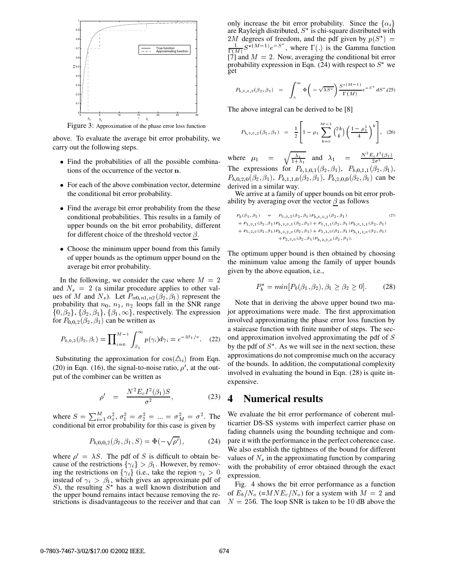

Figure 3: Approximation of the phase error loss function

above. To evaluate the average bit error probability, we carry out the following steps.

- Find the probabilities of all the possible combinations of the occurrence of the vector <sup>n</sup>.
- For each of the above combination vector, determine the conditional bit error probability.
- Find the average bit error probability from the these conditional probabilities. This results in a family of upper bounds on the bit error probability, different for different choice of the threshold vector  $\beta$ .
- Choose the minimum upper bound from this family of upper bounds as the optimum upper bound on the average bit error probability.

In the following, we consider the case where  $M = 2$ and  $N_s = 2$  (a similar procedure applies to other values of M and  $N_s$ ). Let  $P_{n0,n1,n2}(\beta_2,\beta_1)$  represent the probability that  $n_0$ ,  $n_1$ ,  $n_2$  loops fall in the SNR range  $\{0, \beta_2\}, \{\beta_2, \beta_1\}, \{\beta_1, \infty\}$ , respectively. The expression for  $P_{0,0,2}(\beta_2,\beta_1)$  can be written as

$$
P_{0,0,2}(\beta_2, \beta_1) = \prod_{i=0}^{M-1} \int_{\beta_1}^{\infty} p(\gamma_i) d\gamma_i = e^{-2\beta_1/\nu}.
$$
 (22)

Substituting the approximation for  $cos(\Delta_i)$  from Eqn. (20) in Eqn. (16), the signal-to-noise ratio,  $\rho'$ , at the output of the combiner can be written as

$$
\rho' = \frac{N^2 E_c I^2(\beta_1) S}{\sigma^2}, \qquad (23)
$$

where  $S = \sum_{i=1}^{M} \alpha_i^2$ ,  $\sigma_1^2 = \sigma_2^2 = ... = \sigma_M^2 = \sigma^2$ . The conditional bit error probability for this case is given by

$$
P_{b,0,0,2}(\beta_2, \beta_1, S) = \Phi(-\sqrt{\rho'}), \tag{24}
$$

where  $\rho' = \lambda S$ . The pdf of S is difficult to obtain because of the restrictions  $\{\gamma_i\} > \beta_1$ . However, by removing the restrictions on  $\{\gamma_i\}$  (i.e., take the region  $\gamma_i > 0$ instead of  $\gamma_i > \beta_1$ , which gives an approximate pdf of S), the resulting  $S^*$  has a well known distribution and the upper bound remains intact because removing the restrictions is disadvantageous to the receiver and that can only increase the bit error probability. Since the  $\{\alpha_i\}$ are Rayleigh distributed,  $S^*$  is chi-square distributed with 2M degrees of freedom, and the pdf given by  $p(S^*)$  =  $\blacksquare$  $\frac{1}{\Gamma(M)} S^{*(M-1)} e^{-S^*}$ , where  $\Gamma(.)$  is the Gamma function [7] and  $M = 2$ . Now, averaging the conditional bit error probability expression in Eqn. (24) with respect to  $S^*$  we get

$$
P_{b,0,0,2}(\beta_2,\beta_1) = \int_0^\infty \Phi\left(-\sqrt{\lambda S^*}\right) \frac{S^{*(M-1)}}{\Gamma(M)} e^{-S^*} dS^*(25)
$$

The above integral can be derived to be [8]

$$
P_{b,0,0,2}(\beta_2,\beta_1) = \frac{1}{2} \left[ 1 - \mu_1 \sum_{k=0}^{M-1} {2k \choose k} \left( \frac{1 - \mu_1^2}{4} \right)^k \right], (26)
$$

where  $\mu_1 = \sqrt{\frac{\lambda_1}{1+\lambda_1}}$  and  $\lambda_1 = \frac{N^2 E_c I^2(\beta_1)}{2\sigma^2}$ . The expressions for  $P_{b,1,0,1}(\beta_2, \beta_1)$ ,  $P_{b,0,1,1}(\beta_2, \beta_1)$ ,  $P_{b,0,2,0}(\beta_2,\beta_1), P_{b,1,1,0}(\beta_2,\beta_1), P_{b,2,0,0}(\beta_2,\beta_1)$  can be derived in a similar way.

We arrive at a family of upper bounds on bit error probability by averaging over the vector  $\beta$  as follows

$$
P_b(\beta_1, \beta_2) = P_{0,0,2}(\beta_2, \beta_1) P_{b,0,0,2}(\beta_2, \beta_1)
$$
\n
$$
+ P_{1,0,1}(\beta_2, \beta_1) P_{b,1,0,1}(\beta_2, \beta_1) + P_{0,1,1}(\beta_2, \beta_1) P_{b,0,1,1}(\beta_2, \beta_1)
$$
\n
$$
+ P_{0,2,0}(\beta_2, \beta_1) P_{b,0,2,0}(\beta_2, \beta_1) + P_{1,1,0}(\beta_2, \beta_1) P_{b,1,1,0}(\beta_2, \beta_1)
$$
\n
$$
+ P_{2,0,0}(\beta_2, \beta_1) P_{b,2,0,0}(\beta_2, \beta_1).
$$
\n(27)

The optimum upper bound is then obtained by choosing the minimum value among the family of upper bounds given by the above equation, i.e.,

$$
P_b^* = \min[P_b(\beta_1, \beta_2), \beta_1 \ge \beta_2 \ge 0].
$$
 (28)

Note that in deriving the above upper bound two major approximations were made. The first approximation involved approximating the phase error loss function by a staircase function with finite number of steps. The second approximation involved approximating the pdf of <sup>S</sup> by the pdf of  $S^*$ . As we will see in the next section, these approximations do not compromise much on the accuracy of the bounds. In addition, the computational complexity involved in evaluating the bound in Eqn. (28) is quite inexpensive.

#### **4 Numerical results**

We evaluate the bit error performance of coherent multicarrier DS-SS systems with imperfect carrier phase on fading channels using the bounding technique and compare it with the performance in the perfect coherence case. We also establish the tightness of the bound for different values of  $N<sub>s</sub>$  in the approximating function by comparing with the probability of error obtained through the exact expression.

Fig. 4 shows the bit error performance as a function of  $E_b/N_o$  (=MN $E_c/N_o$ ) for a system with  $M = 2$  and  $N = 256$ . The loop SNR is taken to be 10 dB above the